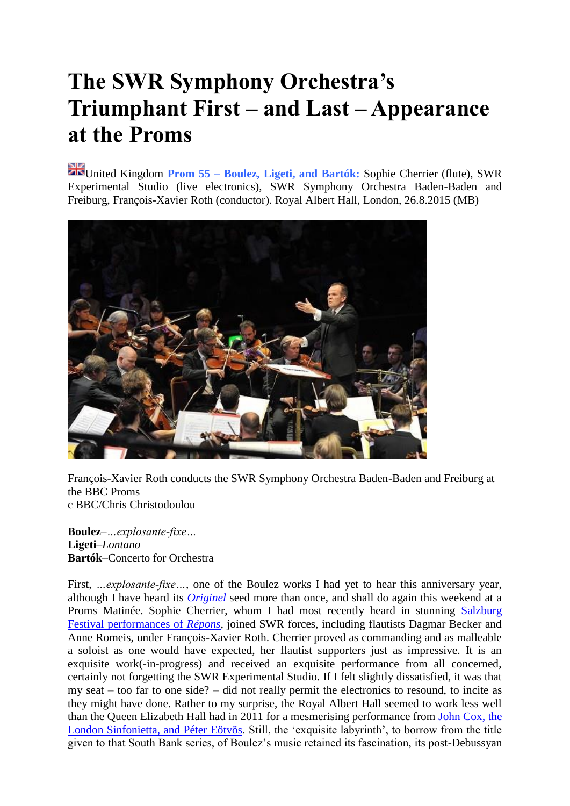## **The SWR Symphony Orchestra's Triumphant First – and Last – Appearance at the Proms**

United Kingdom **Prom 55 – Boulez, Ligeti, and Bartók:** Sophie Cherrier (flute), SWR Experimental Studio (live electronics), SWR Symphony Orchestra Baden-Baden and Freiburg, François-Xavier Roth (conductor). Royal Albert Hall, London, 26.8.2015 (MB)



François-Xavier Roth conducts the SWR Symphony Orchestra Baden-Baden and Freiburg at the BBC Proms c BBC/Chris Christodoulou

**Boulez**–*…explosante-fixe…* **Ligeti**–*Lontano* **Bartók**–Concerto for Orchestra

First, *…explosante-fixe* …, one of the Boulez works I had yet to hear this anniversary year, although I have heard its *[Originel](http://boulezian.blogspot.co.uk/2015/03/berlin-festtage-1-schutzvpobarenboim.html)* seed more than once, and shall do again this weekend at a Proms Matinée. Sophie Cherrier, whom I had most recently heard in stunning [Salzburg](http://seenandheard-international.com/2015/08/boulezs-repons-at-the-salzburg-festival-an-unforgettable-experience/?doing_wp_cron=1440690955.0910189151763916015625)  [Festival performances of](http://seenandheard-international.com/2015/08/boulezs-repons-at-the-salzburg-festival-an-unforgettable-experience/?doing_wp_cron=1440690955.0910189151763916015625) *Répons*, joined SWR forces, including flautists Dagmar Becker and Anne Romeis, under François-Xavier Roth. Cherrier proved as commanding and as malleable a soloist as one would have expected, her flautist supporters just as impressive. It is an exquisite work(-in-progress) and received an exquisite performance from all concerned, certainly not forgetting the SWR Experimental Studio. If I felt slightly dissatisfied, it was that my seat – too far to one side? – did not really permit the electronics to resound, to incite as they might have done. Rather to my surprise, the Royal Albert Hall seemed to work less well than the Queen Elizabeth Hall had in 2011 for a mesmerising performance from [John Cox, the](http://boulezian.blogspot.co.uk/2011/10/exquisite-labyrinth-2.html)  [London Sinfonietta, and Péter Eötvös.](http://boulezian.blogspot.co.uk/2011/10/exquisite-labyrinth-2.html) Still, the 'exquisite labyrinth', to borrow from the title given to that South Bank series, of Boulez's music retained its fascination, its post-Debussyan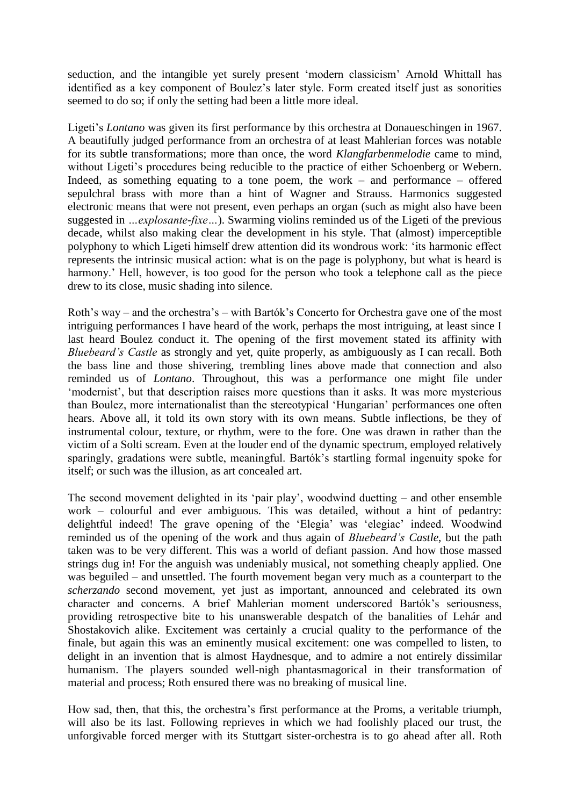seduction, and the intangible yet surely present 'modern classicism' Arnold Whittall has identified as a key component of Boulez's later style. Form created itself just as sonorities seemed to do so; if only the setting had been a little more ideal.

Ligeti's *Lontano* was given its first performance by this orchestra at Donaueschingen in 1967. A beautifully judged performance from an orchestra of at least Mahlerian forces was notable for its subtle transformations; more than once, the word *Klangfarbenmelodie* came to mind, without Ligeti's procedures being reducible to the practice of either Schoenberg or Webern. Indeed, as something equating to a tone poem, the work – and performance – offered sepulchral brass with more than a hint of Wagner and Strauss. Harmonics suggested electronic means that were not present, even perhaps an organ (such as might also have been suggested in *…explosante-fixe…*). Swarming violins reminded us of the Ligeti of the previous decade, whilst also making clear the development in his style. That (almost) imperceptible polyphony to which Ligeti himself drew attention did its wondrous work: 'its harmonic effect represents the intrinsic musical action: what is on the page is polyphony, but what is heard is harmony.' Hell, however, is too good for the person who took a telephone call as the piece drew to its close, music shading into silence.

Roth's way – and the orchestra's – with Bartók's Concerto for Orchestra gave one of the most intriguing performances I have heard of the work, perhaps the most intriguing, at least since I last heard Boulez conduct it. The opening of the first movement stated its affinity with *Bluebeard's Castle* as strongly and yet, quite properly, as ambiguously as I can recall. Both the bass line and those shivering, trembling lines above made that connection and also reminded us of *Lontano*. Throughout, this was a performance one might file under 'modernist', but that description raises more questions than it asks. It was more mysterious than Boulez, more internationalist than the stereotypical 'Hungarian' performances one often hears. Above all, it told its own story with its own means. Subtle inflections, be they of instrumental colour, texture, or rhythm, were to the fore. One was drawn in rather than the victim of a Solti scream. Even at the louder end of the dynamic spectrum, employed relatively sparingly, gradations were subtle, meaningful. Bartók's startling formal ingenuity spoke for itself; or such was the illusion, as art concealed art.

The second movement delighted in its 'pair play', woodwind duetting – and other ensemble work – colourful and ever ambiguous. This was detailed, without a hint of pedantry: delightful indeed! The grave opening of the 'Elegia' was 'elegiac' indeed. Woodwind reminded us of the opening of the work and thus again of *Bluebeard's Castle*, but the path taken was to be very different. This was a world of defiant passion. And how those massed strings dug in! For the anguish was undeniably musical, not something cheaply applied. One was beguiled – and unsettled. The fourth movement began very much as a counterpart to the *scherzando* second movement, yet just as important, announced and celebrated its own character and concerns. A brief Mahlerian moment underscored Bartók's seriousness, providing retrospective bite to his unanswerable despatch of the banalities of Lehár and Shostakovich alike. Excitement was certainly a crucial quality to the performance of the finale, but again this was an eminently musical excitement: one was compelled to listen, to delight in an invention that is almost Haydnesque, and to admire a not entirely dissimilar humanism. The players sounded well-nigh phantasmagorical in their transformation of material and process; Roth ensured there was no breaking of musical line.

How sad, then, that this, the orchestra's first performance at the Proms, a veritable triumph, will also be its last. Following reprieves in which we had foolishly placed our trust, the unforgivable forced merger with its Stuttgart sister-orchestra is to go ahead after all. Roth